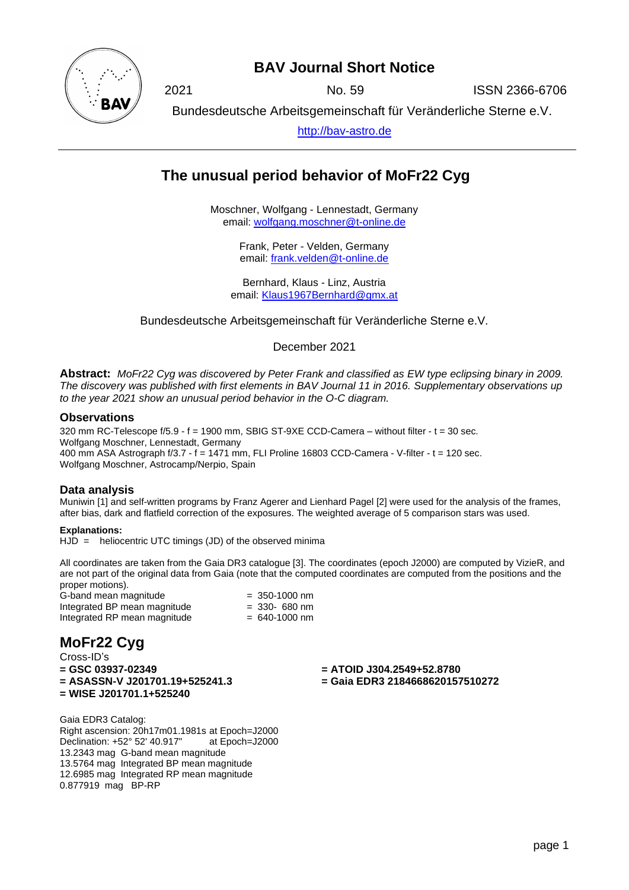

## **BAV Journal Short Notice**

2021 No. 59 ISSN 2366-6706

Bundesdeutsche Arbeitsgemeinschaft für Veränderliche Sterne e.V.

[http://bav-astro.de](http://bav-astro.de/)

# **The unusual period behavior of MoFr22 Cyg**

Moschner, Wolfgang - Lennestadt, Germany email: [wolfgang.moschner@t-online.de](mailto:wolfgang.moschner@t-online.de)

> Frank, Peter - Velden, Germany email: [frank.velden@t-online.de](mailto:frank.velden@t-online.de)

Bernhard, Klaus - Linz, Austria email: [Klaus1967Bernhard@gmx.at](mailto:Klaus1967Bernhard@gmx.at)

Bundesdeutsche Arbeitsgemeinschaft für Veränderliche Sterne e.V.

December 2021

**Abstract:** *MoFr22 Cyg was discovered by Peter Frank and classified as EW type eclipsing binary in 2009. The discovery was published with first elements in BAV Journal 11 in 2016. Supplementary observations up to the year 2021 show an unusual period behavior in the O-C diagram.*

#### **Observations**

320 mm RC-Telescope f/5.9 - f = 1900 mm, SBIG ST-9XE CCD-Camera – without filter - t = 30 sec. Wolfgang Moschner, Lennestadt, Germany 400 mm ASA Astrograph f/3.7 - f = 1471 mm, FLI Proline 16803 CCD-Camera - V-filter - t = 120 sec. Wolfgang Moschner, Astrocamp/Nerpio, Spain

### **Data analysis**

Muniwin [1] and self-written programs by Franz Agerer and Lienhard Pagel [2] were used for the analysis of the frames, after bias, dark and flatfield correction of the exposures. The weighted average of 5 comparison stars was used.

#### **Explanations:**

HJD = heliocentric UTC timings (JD) of the observed minima

All coordinates are taken from the Gaia DR3 catalogue [3]. The coordinates (epoch J2000) are computed by VizieR, and are not part of the original data from Gaia (note that the computed coordinates are computed from the positions and the proper motions).

| G-band mean magnitude        | $= 350 - 1000$ nm |
|------------------------------|-------------------|
| Integrated BP mean magnitude | $=$ 330- 680 nm   |
| Integrated RP mean magnitude | $= 640 - 1000$ nm |

# **MoFr22 Cyg**

Cross-ID's<br>= GSC 03937-02349 **= ASASSN-V J201701.19+525241.3 = Gaia EDR3 2184668620157510272 = WISE J201701.1+525240**

**= GSC 03937-02349 = ATOID J304.2549+52.8780**

Gaia EDR3 Catalog: Right ascension: 20h17m01.1981s at Epoch=J2000 Declination: +52° 52' 40.917" at Epoch=J2000 13.2343 mag G-band mean magnitude 13.5764 mag Integrated BP mean magnitude 12.6985 mag Integrated RP mean magnitude 0.877919 mag BP-RP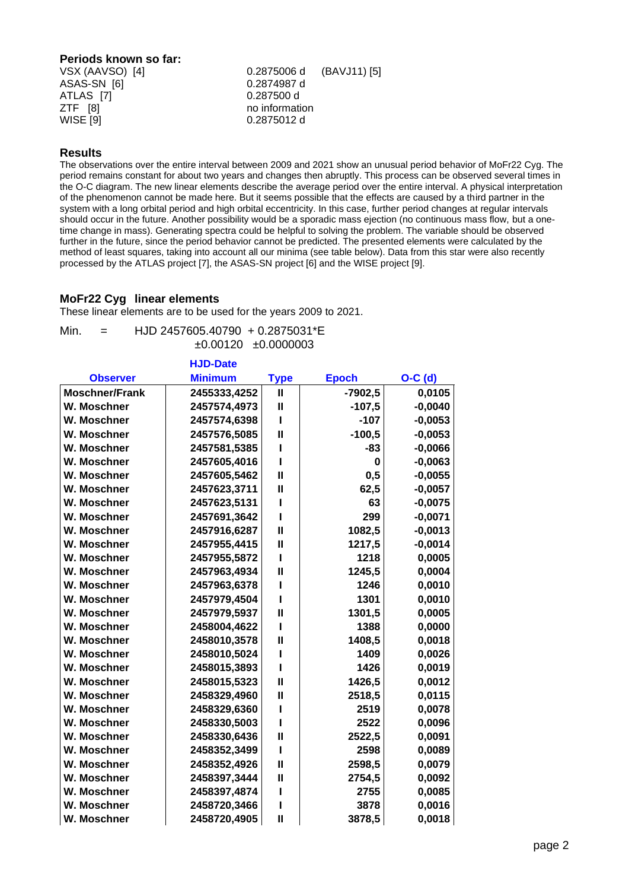### **Periods known so far:** VSX (AAVSO) [4] 0.2875006 d (BAVJ11) [5]

| ASAS-SN [6] | 0.2874987 d    |  |
|-------------|----------------|--|
| ATLAS [7]   | 0.287500 d     |  |
| ZTF [8]     | no information |  |
| WISE [9]    | 0.2875012 d    |  |
|             |                |  |

#### **Results**

The observations over the entire interval between 2009 and 2021 show an unusual period behavior of MoFr22 Cyg. The period remains constant for about two years and changes then abruptly. This process can be observed several times in the O-C diagram. The new linear elements describe the average period over the entire interval. A physical interpretation of the phenomenon cannot be made here. But it seems possible that the effects are caused by a third partner in the system with a long orbital period and high orbital eccentricity. In this case, further period changes at regular intervals should occur in the future. Another possibility would be a sporadic mass ejection (no continuous mass flow, but a onetime change in mass). Generating spectra could be helpful to solving the problem. The variable should be observed further in the future, since the period behavior cannot be predicted. The presented elements were calculated by the method of least squares, taking into account all our minima (see table below). Data from this star were also recently processed by the ATLAS project [7], the ASAS-SN project [6] and the WISE project [9].

### **MoFr22 Cyg linear elements**

These linear elements are to be used for the years 2009 to 2021.

**HJD-Date**

#### Min. = HJD 2457605.40790 + 0.2875031\*E ±0.00120 ±0.0000003

| <b>HJD-Date</b> |              |              |           |
|-----------------|--------------|--------------|-----------|
| <b>Minimum</b>  | <b>Type</b>  | <b>Epoch</b> | $O-C$ (d) |
| 2455333,4252    | Ш            | $-7902,5$    | 0,0105    |
| 2457574,4973    | $\mathbf{I}$ | $-107,5$     | $-0,0040$ |
| 2457574,6398    | ı            | $-107$       | $-0,0053$ |
| 2457576,5085    | $\mathbf{I}$ | $-100,5$     | $-0,0053$ |
| 2457581,5385    |              | $-83$        | $-0,0066$ |
| 2457605,4016    |              | 0            | $-0,0063$ |
| 2457605,5462    | $\mathbf{I}$ | 0,5          | $-0,0055$ |
| 2457623,3711    | $\mathbf{I}$ | 62,5         | $-0,0057$ |
| 2457623,5131    |              | 63           | $-0,0075$ |
| 2457691,3642    |              | 299          | $-0,0071$ |
| 2457916,6287    | $\mathbf{I}$ | 1082,5       | $-0,0013$ |
| 2457955,4415    | $\mathbf{I}$ | 1217,5       | $-0,0014$ |
| 2457955,5872    | ı            | 1218         | 0,0005    |
| 2457963,4934    | $\mathbf{I}$ | 1245,5       | 0,0004    |
| 2457963,6378    |              | 1246         | 0,0010    |
| 2457979,4504    |              | 1301         | 0,0010    |
| 2457979,5937    | $\mathbf{I}$ | 1301,5       | 0,0005    |
| 2458004,4622    | ı            | 1388         | 0,0000    |
| 2458010,3578    | $\mathbf{I}$ | 1408,5       | 0,0018    |
| 2458010,5024    |              | 1409         | 0,0026    |
| 2458015,3893    | ı            | 1426         | 0,0019    |
| 2458015,5323    | $\mathbf{I}$ | 1426,5       | 0,0012    |
| 2458329,4960    | $\mathbf{I}$ | 2518,5       | 0,0115    |
| 2458329,6360    |              | 2519         | 0,0078    |
| 2458330,5003    |              | 2522         | 0,0096    |
| 2458330,6436    | $\mathbf{I}$ | 2522,5       | 0,0091    |
| 2458352,3499    | ı            | 2598         | 0,0089    |
| 2458352,4926    | $\mathbf{I}$ | 2598,5       | 0,0079    |
| 2458397,3444    | $\mathbf{I}$ | 2754,5       | 0,0092    |
| 2458397,4874    |              | 2755         | 0,0085    |
| 2458720,3466    | ı            | 3878         | 0,0016    |
| 2458720,4905    | $\mathbf{I}$ | 3878,5       | 0,0018    |
|                 |              |              |           |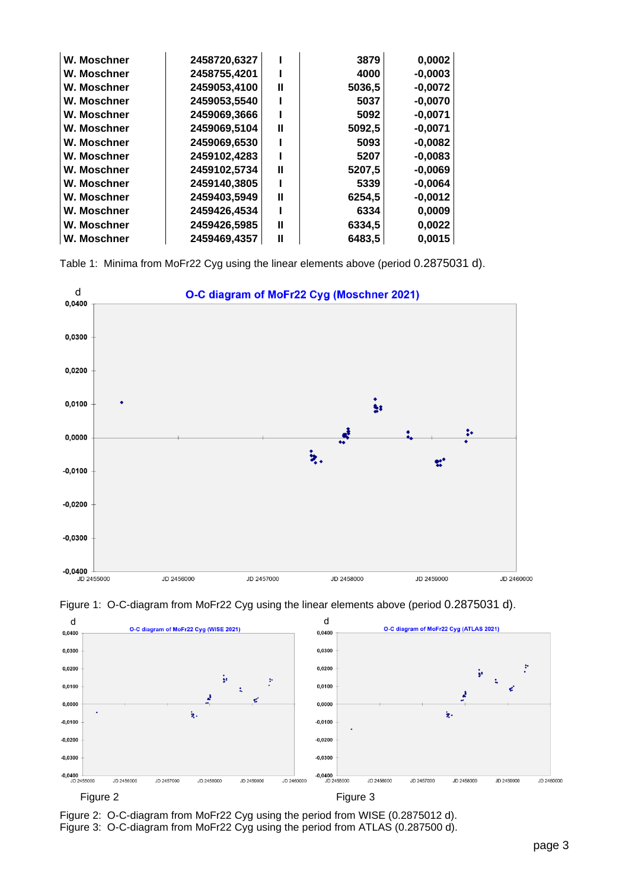| W. Moschner | 2458720,6327 |   | 3879   | 0,0002    |
|-------------|--------------|---|--------|-----------|
| W. Moschner | 2458755,4201 |   | 4000   | $-0,0003$ |
| W. Moschner | 2459053,4100 | Ш | 5036,5 | $-0,0072$ |
| W. Moschner | 2459053,5540 |   | 5037   | $-0,0070$ |
| W. Moschner | 2459069,3666 |   | 5092   | $-0.0071$ |
| W. Moschner | 2459069,5104 | Ш | 5092,5 | $-0,0071$ |
| W. Moschner | 2459069,6530 |   | 5093   | $-0,0082$ |
| W. Moschner | 2459102,4283 |   | 5207   | $-0,0083$ |
| W. Moschner | 2459102,5734 | Ш | 5207,5 | $-0,0069$ |
| W. Moschner | 2459140,3805 |   | 5339   | $-0,0064$ |
| W. Moschner | 2459403,5949 | Ш | 6254,5 | $-0,0012$ |
| W. Moschner | 2459426,4534 |   | 6334   | 0,0009    |
| W. Moschner | 2459426,5985 | Ш | 6334,5 | 0,0022    |
| W. Moschner | 2459469,4357 | Ш | 6483,5 | 0,0015    |

Table 1: Minima from MoFr22 Cyg using the linear elements above (period 0.2875031 d).





Figure 1: O-C-diagram from MoFr22 Cyg using the linear elements above (period 0.2875031 d).

Figure 2: O-C-diagram from MoFr22 Cyg using the period from WISE (0.2875012 d). Figure 3: O-C-diagram from MoFr22 Cyg using the period from ATLAS (0.287500 d).